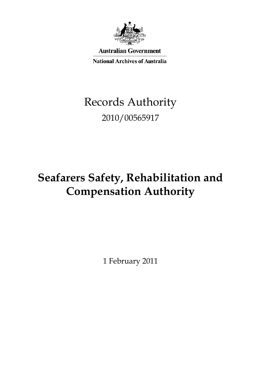

**Australian Government** 

**National Archives of Australia** 

# Records Authority 2010/00565917

# **Seafarers Safety, Rehabilitation and Compensation Authority**

1 February 2011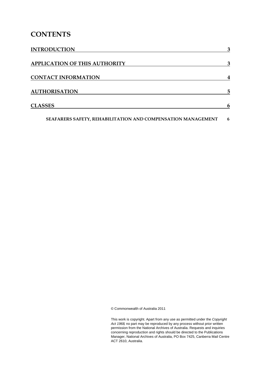# **CONTENTS**

| <b>INTRODUCTION</b>                                          | 3 |
|--------------------------------------------------------------|---|
| <b>APPLICATION OF THIS AUTHORITY</b>                         | 3 |
| <b>CONTACT INFORMATION</b>                                   | 4 |
| <b>AUTHORISATION</b>                                         | 5 |
| <b>CLASSES</b>                                               | 6 |
| SEAFARERS SAFETY, REHABILITATION AND COMPENSATION MANAGEMENT | 6 |

© Commonwealth of Australia 2011

This work is copyright. Apart from any use as permitted under the *Copyright Act 1968,* no part may be reproduced by any process without prior written permission from the National Archives of Australia. Requests and inquiries concerning reproduction and rights should be directed to the Publications Manager, National Archives of Australia, PO Box 7425, Canberra Mail Centre ACT 2610, Australia.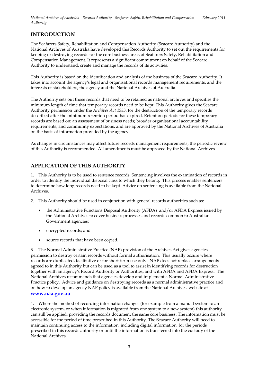# **INTRODUCTION**

 The Seafarers Safety, Rehabilitation and Compensation Authority (Seacare Authority) and the National Archives of Australia have developed this Records Authority to set out the requirements for keeping or destroying records for the core business areas of Seafarers Safety, Rehabilitation and Compensation Management. It represents a significant commitment on behalf of the Seacare Authority to understand, create and manage the records of its activities.

 This Authority is based on the identification and analysis of the business of the Seacare Authority. It takes into account the agency's legal and organisational records management requirements, and the interests of stakeholders, the agency and the National Archives of Australia.

 The Authority sets out those records that need to be retained as national archives and specifies the minimum length of time that temporary records need to be kept. This Authority gives the Seacare Authority permission under the *Archives Act 1983*, for the destruction of the temporary records described after the minimum retention period has expired. Retention periods for these temporary records are based on: an assessment of business needs; broader organisational accountability requirements; and community expectations, and are approved by the National Archives of Australia on the basis of information provided by the agency.

 As changes in circumstances may affect future records management requirements, the periodic review of this Authority is recommended. All amendments must be approved by the National Archives.

# **APPLICATION OF THIS AUTHORITY**

 1. This Authority is to be used to sentence records. Sentencing involves the examination of records in order to identify the individual disposal class to which they belong. This process enables sentencers to determine how long records need to be kept. Advice on sentencing is available from the National Archives.

- 2. This Authority should be used in conjunction with general records authorities such as:
	- the Administrative Functions Disposal Authority (AFDA) and/or AFDA Express issued by the National Archives to cover business processes and records common to Australian Government agencies;
	- encrypted records; and
	- source records that have been copied.

 3. The Normal Administrative Practice (NAP) provision of the Archives Act gives agencies permission to destroy certain records without formal authorisation. This usually occurs where records are duplicated, facilitative or for short-term use only. NAP does not replace arrangements agreed to in this Authority but can be used as a tool to assist in identifying records for destruction together with an agency's Record Authority or Authorities, and with AFDA and AFDA Express. The National Archives recommends that agencies develop and implement a Normal Administrative Practice policy. Advice and guidance on destroying records as a normal administrative practice and on how to develop an agency NAP policy is available from the National Archives' website at **[www.naa.gov.au](http://www.naa.gov.au/)** 

 4. Where the method of recording information changes (for example from a manual system to an electronic system, or when information is migrated from one system to a new system) this authority can still be applied, providing the records document the same core business. The information must be accessible for the period of time prescribed in this Authority. The Seacare Authority will need to maintain continuing access to the information, including digital information, for the periods prescribed in this records authority or until the information is transferred into the custody of the National Archives.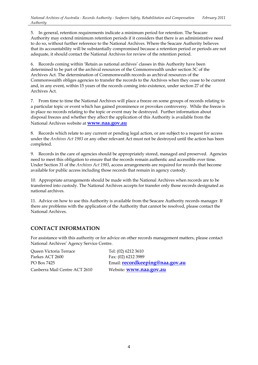5. In general, retention requirements indicate a minimum period for retention. The Seacare Authority may extend minimum retention periods if it considers that there is an administrative need to do so, without further reference to the National Archives. Where the Seacare Authority believes that its accountability will be substantially compromised because a retention period or periods are not adequate, it should contact the National Archives for review of the retention period.

 6. Records coming within 'Retain as national archives' classes in this Authority have been determined to be part of the archival resources of the Commonwealth under section 3C of the Archives Act. The determination of Commonwealth records as archival resources of the Commonwealth obliges agencies to transfer the records to the Archives when they cease to be current and, in any event, within 15 years of the records coming into existence, under section 27 of the Archives Act.

 7. From time to time the National Archives will place a freeze on some groups of records relating to a particular topic or event which has gained prominence or provokes controversy. While the freeze is in place no records relating to the topic or event may be destroyed. Further information about disposal freezes and whether they affect the application of this Authority is available from the National Archives website at **[www.naa.gov.au](http://www.naa.gov.au/)** 

 8. Records which relate to any current or pending legal action, or are subject to a request for access under the *Archives Act 1983* or any other relevant Act must not be destroyed until the action has been completed.

completed.<br>9. Records in the care of agencies should be appropriately stored, managed and preserved. Agencies need to meet this obligation to ensure that the records remain authentic and accessible over time. Under Section 31 of the *Archives Act 1983*, access arrangements are required for records that become available for public access including those records that remain in agency custody.

 10. Appropriate arrangements should be made with the National Archives when records are to be transferred into custody. The National Archives accepts for transfer only those records designated as national archives.

 11. Advice on how to use this Authority is available from the Seacare Authority records manager. If there are problems with the application of the Authority that cannot be resolved, please contact the National Archives.

# **CONTACT INFORMATION**

 For assistance with this authority or for advice on other records management matters, please contact National Archives' Agency Service Centre.

Parkes ACT 2600 Fax: (02) 6212 3989 Canberra Mail Centre ACT 2610 Queen Victoria Terrace

Tel: (02) 6212 3610 PO Box 7425 Email: **[recordkeeping@naa.gov.au](mailto:recordkeeping@naa.gov.au)** Website: **www.naa.gov.au**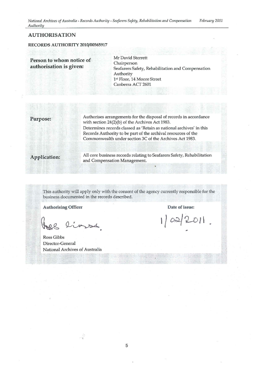*National Archives of Australia - Records Authority - Seafarers Safety, Rehabilitation and Compensation February 2011 Authorih* 

#### **AUTHORISATION**

#### RECORDS AUTHORITY 2010/00565917

**Person to whom notice of Mr David Sterrett**<br> **authorisation is given:** Seafarers Safety, Rehabilitation and Compensation Authority 1st Floor, 14 Moore Street Canberra ACT 2601

Authorises arrangements for the disposal of records in accordance **Purpose:** with section 24(2)(b) of the Archives Act 1983. Determines records classed as 'Retain as national archives' in this Records Authority to be part of the archival resources of the Commonwealth under section 3C of the Archives Act 1983.

All core business records relating to Seafarers Safety, Rehabilitation **Application:** and Compensation Management.

This authority will apply only with the consent of the agency currently responsible for the business documented in the records described.

Authorising Officer **Date of issue:** 

lines

Ross Gibbs Director-General National Archives of Australia

 $02/2011$ .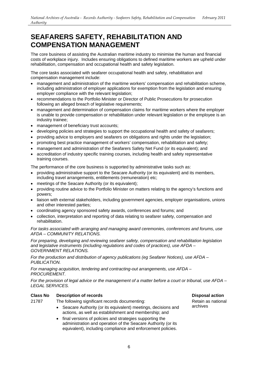<span id="page-5-0"></span> The core business of assisting the Australian maritime industry to minimise the human and financial costs of workplace injury. Includes ensuring obligations to defined maritime workers are upheld under rehabilitation, compensation and occupational health and safety legislation.

The core tasks associated with seafarer occupational health and safety, rehabilitation and compensation management include:

- including administration of employer applications for exemption from the legislation and ensuring • management and administration of the maritime workers' compensation and rehabilitation scheme, employer compliance with the relevant legislation;
- recommendations to the Portfolio Minister or Director of Public Prosecutions for prosecution following an alleged breach of legislative requirements;
- • management and determination of compensation claims for maritime workers where the employer is unable to provide compensation or rehabilitation under relevant legislation or the employee is an industry trainee;
- • management of beneficiary trust accounts;
- developing policies and strategies to support the occupational health and safety of seafarers;
- • providing advice to employers and seafarers on obligations and rights under the legislation;
- • promoting best practice management of workers' compensation, rehabilitation and safety;
- management and administration of the Seafarers Safety Net Fund (or its equivalent); and
- accreditation of industry specific training courses, including health and safety representative training courses.

The performance of the core business is supported by administrative tasks such as:

- providing administrative support to the Seacare Authority (or its equivalent) and its members, including travel arrangements, entitlements (remuneration) etc;
- meetings of the Seacare Authority (or its equivalent);
- • providing routine advice to the Portfolio Minister on matters relating to the agency's functions and powers;
- • liaison with external stakeholders, including government agencies, employer organisations, unions and other interested parties;
- • coordinating agency sponsored safety awards, conferences and forums; and
- • collection, interpretation and reporting of data relating to seafarer safety, compensation and rehabilitation.

 *For tasks associated with arranging and managing award ceremonies, conferences and forums, use AFDA – COMMUNITY RELATIONS.* 

 *For preparing, developing and reviewing seafarer safety, compensation and rehabilitation legislation and legislative instruments (including regulations and codes of practices), use AFDA – GOVERNMENT RELATIONS.* 

 *For the production and distribution of agency publications (eg Seafarer Notices), use AFDA – PUBLICATION.* 

*For managing acquisition, tendering and contracting-out arrangements, use AFDA – PROCUREMENT.* 

 *For the provision of legal advice or the management of a matter before a court or tribunal, use AFDA – LEGAL SERVICES.* 

## **Class No Description of records Disposal action**

# 21787 The following significant records documenting: **Retain as national**

- Seacare Authority (or its equivalent) meetings, decisions and archives actions, as well as establishment and membership; and
- • final versions of policies and strategies supporting the administration and operation of the Seacare Authority (or its equivalent), including compliance and enforcement policies.

Retain as national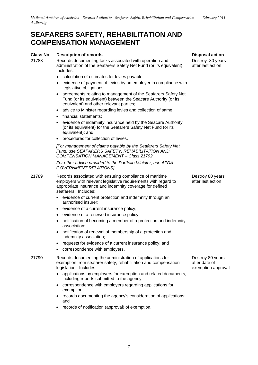## **Class No Description of records**

 administration of the Seafarers Safety Net Fund (or its equivalent). 21788 Records documenting tasks associated with operation and Includes:

- calculation of estimates for levies payable;
- • evidence of payment of levies by an employer in compliance with legislative obligations;
- agreements relating to management of the Seafarers Safety Net Fund (or its equivalent) between the Seacare Authority (or its equivalent) and other relevant parties;
- advice to Minister regarding levies and collection of same;
- financial statements;
- • evidence of indemnity insurance held by the Seacare Authority (or its equivalent) for the Seafarers Safety Net Fund (or its equivalent); and
- • procedures for collection of levies.

 *[For management of claims payable by the Seafarers Safety Net Fund, use SEAFARERS SAFETY, REHABILITATION AND COMPENSATION MANAGEMENT – Class 21792.* 

 *For other advice provided to the Portfolio Minister, use AFDA – GOVERNMENT RELATIONS].* 

- seafarers. Includes: 21789 Records associated with ensuring compliance of maritime employers with relevant legislative requirements with regard to appropriate insurance and indemnity coverage for defined
	- • evidence of current protection and indemnity through an authorised insurer;
	- evidence of a current insurance policy;
	- • evidence of a renewed insurance policy;
	- notification of becoming a member of a protection and indemnity association;
	- notification of renewal of membership of a protection and indemnity association;
	- • requests for evidence of a current insurance policy; and
	- correspondence with employers.

 21790 Records documenting the administration of applications for exemption from seafarer safety, rehabilitation and compensation legislation. Includes:

- • applications by employers for exemption and related documents, including reports submitted to the agency;
- • correspondence with employers regarding applications for exemption;
- records documenting the agency's consideration of applications; and
- • records of notification (approval) of exemption.

**Disposal action** 

 Destroy 80 years after last action

 Destroy 80 years after last action

 Destroy 80 years after date of exemption approval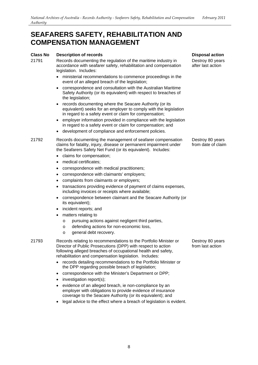# **Class No Description of records**

- accordance with seafarer safety, rehabilitation and compensation legislation. Includes: 21791 Records documenting the regulation of the maritime industry in
	- event of an alleged breach of the legislation; ministerial recommendations to commence proceedings in the
	- Safety Authority (or its equivalent) with respect to breaches of correspondence and consultation with the Australian Maritime the legislation;
	- records documenting where the Seacare Authority (or its equivalent) seeks for an employer to comply with the legislation in regard to a safety event or claim for compensation;
	- in regard to a safety event or claim for compensation; and employer information provided in compliance with the legislation
	- • development of compliance and enforcement policies.

#### 21792 Records documenting the management of seafarer compensation claims for fatality, injury, disease or permanent impairment under the Seafarers Safety Net Fund (or its equivalent). Includes:

- • claims for compensation;
- medical certificates;
- correspondence with medical practitioners;
- correspondence with claimants' employers;
- • complaints from claimants or employers;
- • transactions providing evidence of payment of claims expenses, including invoices or receipts where available;
- • correspondence between claimant and the Seacare Authority (or its equivalent);
- incident reports; and
- matters relating to
	- o pursuing actions against negligent third parties,
	- o defending actions for non-economic loss,
	- o general debt recovery.

21793 Records relating to recommendations to the Portfolio Minister or Director of Public Prosecutions (DPP) with respect to action following alleged breaches of occupational health and safety, rehabilitation and compensation legislation. Includes:

- • records detailing recommendations to the Portfolio Minister or the DPP regarding possible breach of legislation;
- correspondence with the Minister's Department or DPP;
- investigation report(s);
- coverage to the Seacare Authority (or its equivalent); and evidence of an alleged breach, ie non-compliance by an employer with obligations to provide evidence of insurance
- legal advice to the effect where a breach of legislation is evident.

**Disposal action** 

 Destroy 80 years after last action

 Destroy 80 years from date of claim

 Destroy 80 years from last action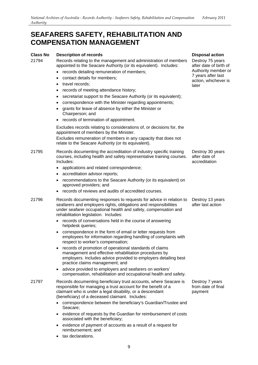## **Class No Description of records**

21794 Records relating to the management and administration of members appointed to the Seacare Authority (or its equivalent). Includes:

- • records detailing remuneration of members;
- • contact details for members;
- travel records:
- records of meeting attendance history;
- secretariat support to the Seacare Authority (or its equivalent);
- correspondence with the Minister regarding appointments;
- • grants for leave of absence by either the Minister or Chairperson; and
- • records of termination of appointment.

 Excludes records relating to considerations of, or decisions for, the appointment of members by the Minister. Excludes remuneration of members in any capacity that does not relate to the Seacare Authority (or its equivalent).

- 21795 Records documenting the accreditation of industry specific training courses, including health and safety representative training courses. Includes:
	- applications and related correspondence;
	- accreditation advisor reports:
	- recommendations to the Seacare Authority (or its equivalent) on approved providers; and
	- • records of reviews and audits of accredited courses.
- 21796 Records documenting responses to requests for advice in relation to seafarers and employers rights, obligations and responsibilities under seafarer occupational health and safety, compensation and rehabilitation legislation. Includes:
	- records of conversations held in the course of answering helpdesk queries;
	- • correspondence in the form of email or letter requests from employees for information regarding handling of complaints with respect to worker's compensation;
	- records of promotion of operational standards of claims management and effective rehabilitation procedures by employers. Includes advice provided to employers detailing best practice claims management; and
	- compensation, rehabilitation and occupational health and safety. advice provided to employers and seafarers on workers'
- responsible for managing a trust account for the benefit of a claimant who is under a legal disability, or a descendant (beneficiary) of a deceased claimant. Includes: 21797 Records documenting beneficiary trust accounts, where Seacare is
	- correspondence between the beneficiary's Guardian/Trustee and Seacare;
	- evidence of requests by the Guardian for reimbursement of costs associated with the beneficiary;
	- • evidence of payment of accounts as a result of a request for reimbursement; and
	- tax declarations.

## **Disposal action**

 Destroy 75 years after date of birth of Authority member or 7 years after last action, whichever is later

 Destroy 30 years after date of accreditation

 Destroy 13 years after last action

 Destroy 7 years from date of final payment